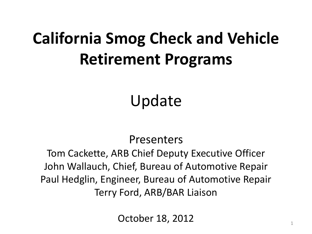## **California Smog Check and Vehicle Retirement Programs**

Update

#### Presenters

Tom Cackette, ARB Chief Deputy Executive Officer John Wallauch, Chief, Bureau of Automotive Repair Paul Hedglin, Engineer, Bureau of Automotive Repair Terry Ford, ARB/BAR Liaison

October 18, 2012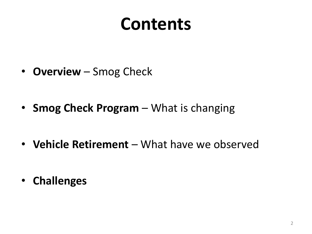## **Contents**

- **Overview** Smog Check
- **Smog Check Program**  What is changing
- **Vehicle Retirement**  What have we observed

• **Challenges**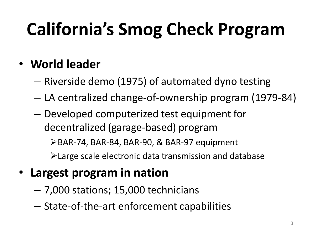# **California's Smog Check Program**

#### • **World leader**

- Riverside demo (1975) of automated dyno testing
- LA centralized change-of-ownership program (1979-84)
- Developed computerized test equipment for decentralized (garage-based) program

BAR-74, BAR-84, BAR-90, & BAR-97 equipment

Large scale electronic data transmission and database

#### • **Largest program in nation**

- 7,000 stations; 15,000 technicians
- State-of-the-art enforcement capabilities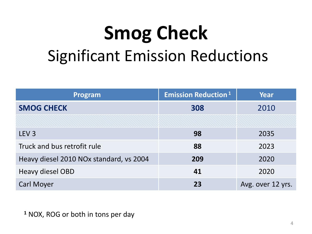# **Smog Check** Significant Emission Reductions

| Program                                 | <b>Emission Reduction</b> <sup>1</sup> | <b>Year</b>       |
|-----------------------------------------|----------------------------------------|-------------------|
| <b>SMOG CHECK</b>                       | 308                                    | 2010              |
|                                         |                                        |                   |
| LEV <sub>3</sub>                        | 98                                     | 2035              |
| Truck and bus retrofit rule             | 88                                     | 2023              |
| Heavy diesel 2010 NOx standard, vs 2004 | 209                                    | 2020              |
| Heavy diesel OBD                        | 41                                     | 2020              |
| <b>Carl Moyer</b>                       | 23                                     | Avg. over 12 yrs. |

**<sup>1</sup>** NOX, ROG or both in tons per day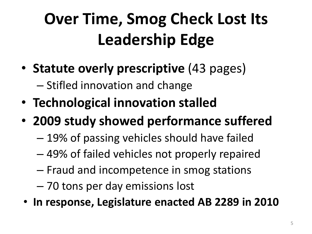## **Over Time, Smog Check Lost Its Leadership Edge**

- **Statute overly prescriptive** (43 pages) – Stifled innovation and change
- **Technological innovation stalled**
- **2009 study showed performance suffered**
	- 19% of passing vehicles should have failed
	- 49% of failed vehicles not properly repaired
	- Fraud and incompetence in smog stations
	- 70 tons per day emissions lost
- **In response, Legislature enacted AB 2289 in 2010**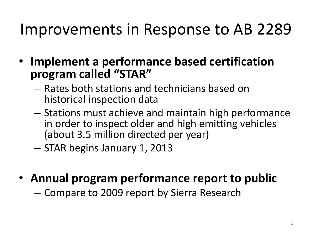#### Improvements in Response to AB 2289

- **Implement a performance based certification program called "STAR"**
	- Rates both stations and technicians based on historical inspection data
	- Stations must achieve and maintain high performance in order to inspect older and high emitting vehicles (about 3.5 million directed per year)
	- STAR begins January 1, 2013
- **Annual program performance report to public**

– Compare to 2009 report by Sierra Research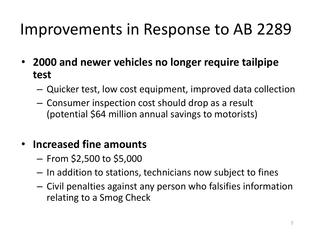#### Improvements in Response to AB 2289

- **2000 and newer vehicles no longer require tailpipe test**
	- Quicker test, low cost equipment, improved data collection
	- Consumer inspection cost should drop as a result (potential \$64 million annual savings to motorists)

#### • **Increased fine amounts**

- $-$  From \$2,500 to \$5,000
- In addition to stations, technicians now subject to fines
- Civil penalties against any person who falsifies information relating to a Smog Check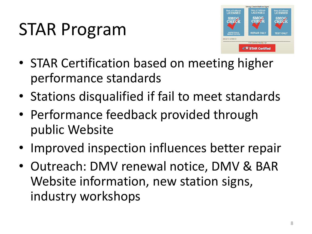# STAR Program



- STAR Certification based on meeting higher performance standards
- Stations disqualified if fail to meet standards
- Performance feedback provided through public Website
- Improved inspection influences better repair
- Outreach: DMV renewal notice, DMV & BAR Website information, new station signs, industry workshops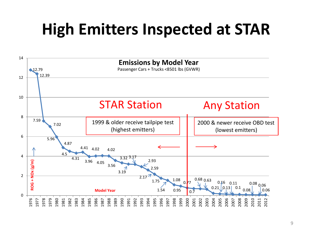## **High Emitters Inspected at STAR**

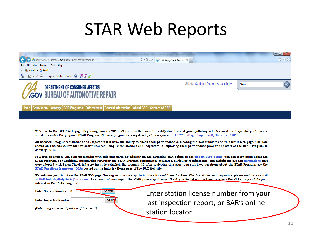## STAR Web Reports



lome │ Consumers │ Industry │ BAR Programs │ Enforcement │ General Information │ About BAR **Careers At BAR** 

**Search** 

Seard

Welcome to the STAR Web page. Beginning January 2013, all stations that wish to certify directed and gross-polluting vehicles must meet specific performance standards under the proposed STAR Program. The new program is being developed in response to AB 2289 (Eng. Chapter 258, Statutes of 2010).

All licensed Smog Check stations and inspectors will have the ability to check their performance in meeting the new standards on this STAR Web page. The data shown on this site is intended to assist licensed Smog Check stations and inspectors in improving their performance prior to the start of the STAR Program in January 2013.

Feel free to explore and become familiar with this new page. By clicking on the hyperlink that points to the Report Card Terms, you can learn more about the STAR Program. For additional information regarding the STAR Program performance measures, eligibility requirements, and definitions see the Regulations that were adopted with Smog Check industry input to establish the program. If, after reviewing this page, you still have questions about the STAR Program, see the STAR Questions & Answers (Q&A) posted on the Industry Home page of the BAR Web site.

We welcome your input on the STAR Web page. For suggestions on ways to improve its usefulness for Smog Check stations and inspectors, please send us an email at BAR.IndustryHeipDesk@dca.ca.gov. As a result of your input, the STAR page may change. Thank you for taking the time to review the STAR page and for your interest in the STAR Program.

**Enter Station Number: 380** 

**Enter Inspector Number:** 

(Enter only numerical portion of license ID)

Enter station license number from your last inspection report, or BAR's online station locator.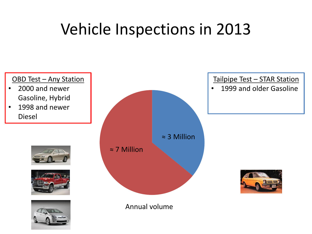## Vehicle Inspections in 2013

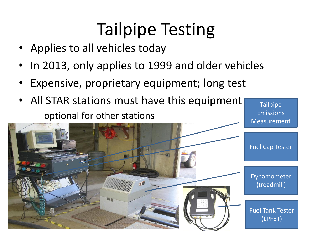## Tailpipe Testing

- Applies to all vehicles today
- In 2013, only applies to 1999 and older vehicles
- Expensive, proprietary equipment; long test
- All STAR stations must have this equipment – optional for other stations

**Tailpipe** Emissions Measurement

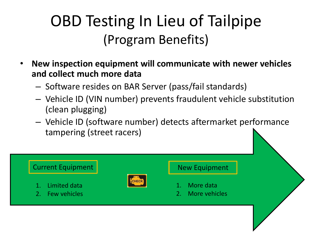## OBD Testing In Lieu of Tailpipe (Program Benefits)

- **New inspection equipment will communicate with newer vehicles and collect much more data**
	- Software resides on BAR Server (pass/fail standards)
	- Vehicle ID (VIN number) prevents fraudulent vehicle substitution (clean plugging)
	- Vehicle ID (software number) detects aftermarket performance tampering (street racers)

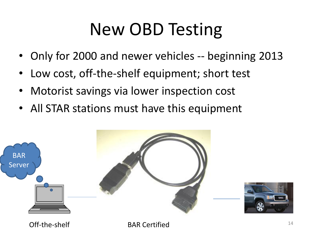## New OBD Testing

- Only for 2000 and newer vehicles -- beginning 2013
- Low cost, off-the-shelf equipment; short test
- Motorist savings via lower inspection cost
- All STAR stations must have this equipment





Off-the-shelf BAR Certified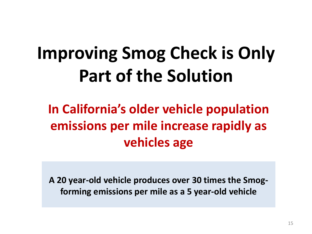# **Improving Smog Check is Only Part of the Solution**

#### **In California's older vehicle population emissions per mile increase rapidly as vehicles age**

**A 20 year-old vehicle produces over 30 times the Smogforming emissions per mile as a 5 year-old vehicle**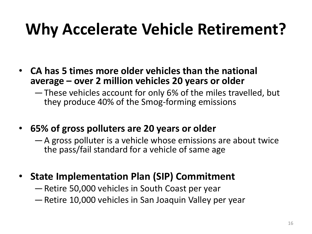## **Why Accelerate Vehicle Retirement?**

- **CA has 5 times more older vehicles than the national average – over 2 million vehicles 20 years or older**
	- ―These vehicles account for only 6% of the miles travelled, but they produce 40% of the Smog-forming emissions
- **65% of gross polluters are 20 years or older**
	- —A gross polluter is a vehicle whose emissions are about twice the pass/fail standard for a vehicle of same age
- **State Implementation Plan (SIP) Commitment**
	- —Retire 50,000 vehicles in South Coast per year
	- —Retire 10,000 vehicles in San Joaquin Valley per year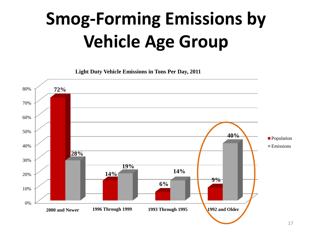# **Smog-Forming Emissions by Vehicle Age Group**

**Light Duty Vehicle Emissions in Tons Per Day, 2011**

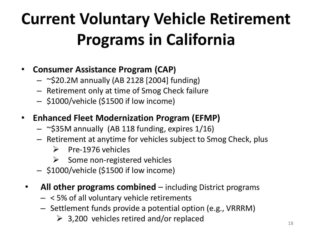## **Current Voluntary Vehicle Retirement Programs in California**

#### • **Consumer Assistance Program (CAP)**

- $-$  ~\$20.2M annually (AB 2128 [2004] funding)
- Retirement only at time of Smog Check failure
- \$1000/vehicle (\$1500 if low income)
- **Enhanced Fleet Modernization Program (EFMP)**
	- $-$  ~\$35M annually (AB 118 funding, expires 1/16)
	- Retirement at anytime for vehicles subject to Smog Check, plus
		- $\triangleright$  Pre-1976 vehicles
		- $\triangleright$  Some non-registered vehicles
	- \$1000/vehicle (\$1500 if low income)
	- **All other programs combined**  including District programs
		- < 5% of all voluntary vehicle retirements
		- Settlement funds provide a potential option (e.g., VRRRM)
			- $\geq$  3,200 vehicles retired and/or replaced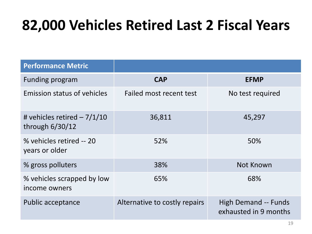#### **82,000 Vehicles Retired Last 2 Fiscal Years**

| <b>Performance Metric</b>                         |                               |                                                      |
|---------------------------------------------------|-------------------------------|------------------------------------------------------|
| Funding program                                   | <b>CAP</b>                    | <b>EFMP</b>                                          |
| <b>Emission status of vehicles</b>                | Failed most recent test       | No test required                                     |
| # vehicles retired $-7/1/10$<br>through $6/30/12$ | 36,811                        | 45,297                                               |
| % vehicles retired -- 20<br>years or older        | 52%                           | 50%                                                  |
| % gross polluters                                 | 38%                           | Not Known                                            |
| % vehicles scrapped by low<br>income owners       | 65%                           | 68%                                                  |
| Public acceptance                                 | Alternative to costly repairs | <b>High Demand -- Funds</b><br>exhausted in 9 months |